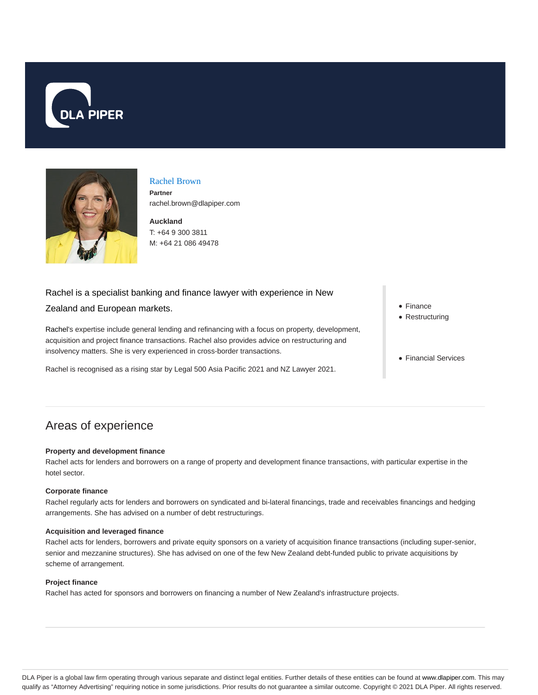



## Rachel Brown

**Partner** rachel.brown@dlapiper.com

**Auckland** T: +64 9 300 3811 M: +64 21 086 49478

## Rachel is a specialist banking and finance lawyer with experience in New

## Zealand and European markets.

Rachel's expertise include general lending and refinancing with a focus on property, development, acquisition and project finance transactions. Rachel also provides advice on restructuring and insolvency matters. She is very experienced in cross-border transactions.

Rachel is recognised as a rising star by Legal 500 Asia Pacific 2021 and NZ Lawyer 2021.

- Finance
- Restructuring
- Financial Services

# Areas of experience

#### **Property and development finance**

Rachel acts for lenders and borrowers on a range of property and development finance transactions, with particular expertise in the hotel sector.

#### **Corporate finance**

Rachel regularly acts for lenders and borrowers on syndicated and bi-lateral financings, trade and receivables financings and hedging arrangements. She has advised on a number of debt restructurings.

#### **Acquisition and leveraged finance**

Rachel acts for lenders, borrowers and private equity sponsors on a variety of acquisition finance transactions (including super-senior, senior and mezzanine structures). She has advised on one of the few New Zealand debt-funded public to private acquisitions by scheme of arrangement.

#### **Project finance**

Rachel has acted for sponsors and borrowers on financing a number of New Zealand's infrastructure projects.

DLA Piper is a global law firm operating through various separate and distinct legal entities. Further details of these entities can be found at www.dlapiper.com. This may qualify as "Attorney Advertising" requiring notice in some jurisdictions. Prior results do not guarantee a similar outcome. Copyright @ 2021 DLA Piper. All rights reserved.